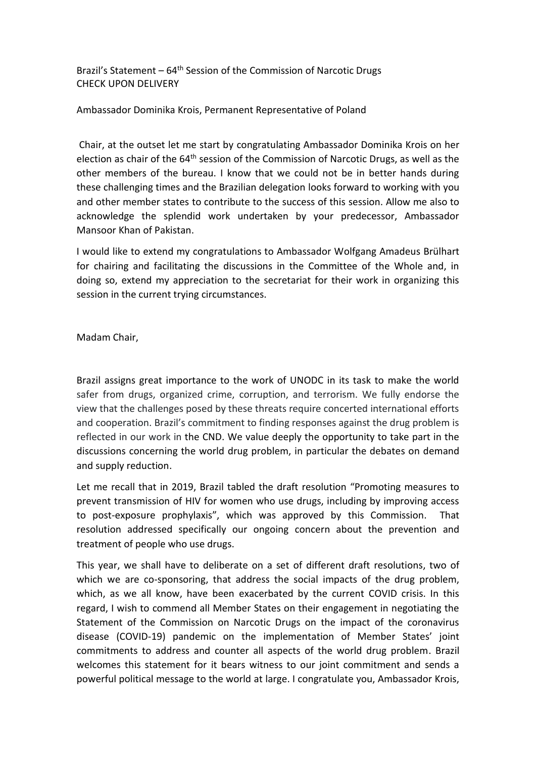Brazil's Statement –  $64<sup>th</sup>$  Session of the Commission of Narcotic Drugs CHECK UPON DELIVERY

Ambassador Dominika Krois, Permanent Representative of Poland

Chair, at the outset let me start by congratulating Ambassador Dominika Krois on her election as chair of the 64<sup>th</sup> session of the Commission of Narcotic Drugs, as well as the other members of the bureau. I know that we could not be in better hands during these challenging times and the Brazilian delegation looks forward to working with you and other member states to contribute to the success of this session. Allow me also to acknowledge the splendid work undertaken by your predecessor, Ambassador Mansoor Khan of Pakistan.

I would like to extend my congratulations to Ambassador Wolfgang Amadeus Brülhart for chairing and facilitating the discussions in the Committee of the Whole and, in doing so, extend my appreciation to the secretariat for their work in organizing this session in the current trying circumstances.

Madam Chair,

Brazil assigns great importance to the work of UNODC in its task to make the world safer from drugs, organized crime, corruption, and terrorism. We fully endorse the view that the challenges posed by these threats require concerted international efforts and cooperation. Brazil's commitment to finding responses against the drug problem is reflected in our work in the CND. We value deeply the opportunity to take part in the discussions concerning the world drug problem, in particular the debates on demand and supply reduction.

Let me recall that in 2019, Brazil tabled the draft resolution "Promoting measures to prevent transmission of HIV for women who use drugs, including by improving access to post-exposure prophylaxis", which was approved by this Commission. That resolution addressed specifically our ongoing concern about the prevention and treatment of people who use drugs.

This year, we shall have to deliberate on a set of different draft resolutions, two of which we are co-sponsoring, that address the social impacts of the drug problem, which, as we all know, have been exacerbated by the current COVID crisis. In this regard, I wish to commend all Member States on their engagement in negotiating the Statement of the Commission on Narcotic Drugs on the impact of the coronavirus disease (COVID-19) pandemic on the implementation of Member States' joint commitments to address and counter all aspects of the world drug problem. Brazil welcomes this statement for it bears witness to our joint commitment and sends a powerful political message to the world at large. I congratulate you, Ambassador Krois,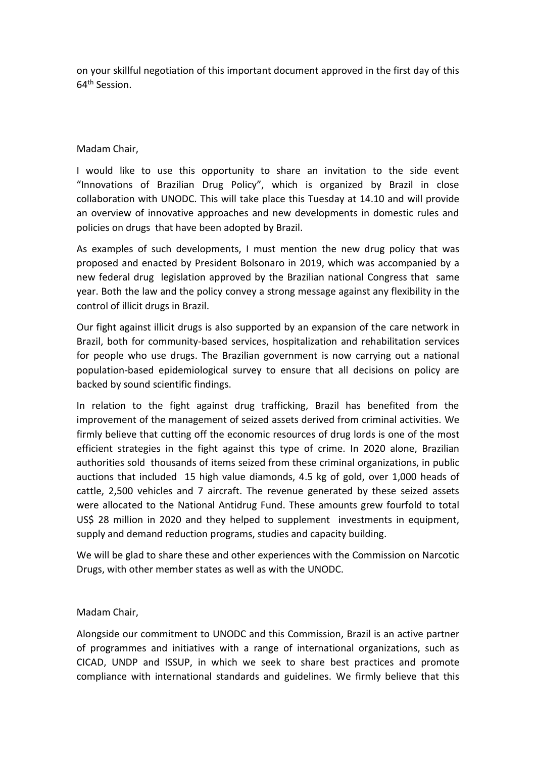on your skillful negotiation of this important document approved in the first day of this 64th Session.

## Madam Chair,

I would like to use this opportunity to share an invitation to the side event "Innovations of Brazilian Drug Policy", which is organized by Brazil in close collaboration with UNODC. This will take place this Tuesday at 14.10 and will provide an overview of innovative approaches and new developments in domestic rules and policies on drugs that have been adopted by Brazil.

As examples of such developments, I must mention the new drug policy that was proposed and enacted by President Bolsonaro in 2019, which was accompanied by a new federal drug legislation approved by the Brazilian national Congress that same year. Both the law and the policy convey a strong message against any flexibility in the control of illicit drugs in Brazil.

Our fight against illicit drugs is also supported by an expansion of the care network in Brazil, both for community-based services, hospitalization and rehabilitation services for people who use drugs. The Brazilian government is now carrying out a national population-based epidemiological survey to ensure that all decisions on policy are backed by sound scientific findings.

In relation to the fight against drug trafficking, Brazil has benefited from the improvement of the management of seized assets derived from criminal activities. We firmly believe that cutting off the economic resources of drug lords is one of the most efficient strategies in the fight against this type of crime. In 2020 alone, Brazilian authorities sold thousands of items seized from these criminal organizations, in public auctions that included 15 high value diamonds, 4.5 kg of gold, over 1,000 heads of cattle, 2,500 vehicles and 7 aircraft. The revenue generated by these seized assets were allocated to the National Antidrug Fund. These amounts grew fourfold to total US\$ 28 million in 2020 and they helped to supplement investments in equipment, supply and demand reduction programs, studies and capacity building.

We will be glad to share these and other experiences with the Commission on Narcotic Drugs, with other member states as well as with the UNODC.

## Madam Chair,

Alongside our commitment to UNODC and this Commission, Brazil is an active partner of programmes and initiatives with a range of international organizations, such as CICAD, UNDP and ISSUP, in which we seek to share best practices and promote compliance with international standards and guidelines. We firmly believe that this